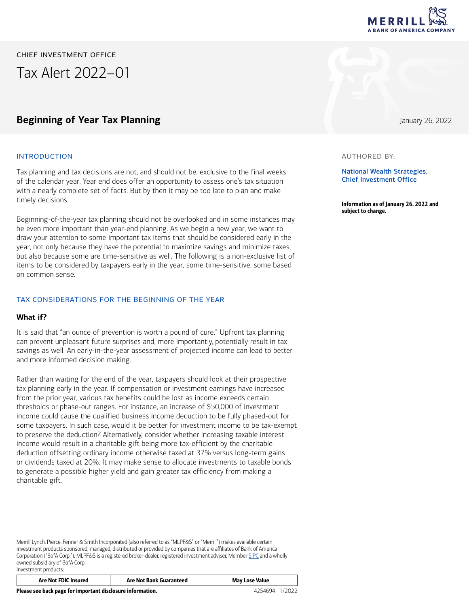

CHIEF INVESTMENT OFFICE

Tax Alert 2022–01

# **Beginning of Year Tax Planning** January 26, 2022

#### INTRODUCTION

Tax planning and tax decisions are not, and should not be, exclusive to the final weeks of the calendar year. Year end does offer an opportunity to assess one's tax situation with a nearly complete set of facts. But by then it may be too late to plan and make timely decisions.

Beginning-of-the-year tax planning should not be overlooked and in some instances may be even more important than year-end planning. As we begin a new year, we want to draw your attention to some important tax items that should be considered early in the year, not only because they have the potential to maximize savings and minimize taxes, but also because some are time-sensitive as well. The following is a non-exclusive list of items to be considered by taxpayers early in the year, some time-sensitive, some based on common sense.

### TAX CONSIDERATIONS FOR THE BEGINNING OF THE YEAR

#### **What if?**

It is said that "an ounce of prevention is worth a pound of cure." Upfront tax planning can prevent unpleasant future surprises and, more importantly, potentially result in tax savings as well. An early-in-the-year assessment of projected income can lead to better and more informed decision making.

Rather than waiting for the end of the year, taxpayers should look at their prospective tax planning early in the year. If compensation or investment earnings have increased from the prior year, various tax benefits could be lost as income exceeds certain thresholds or phase-out ranges. For instance, an increase of \$50,000 of investment income could cause the qualified business income deduction to be fully phased-out for some taxpayers. In such case, would it be better for investment income to be tax-exempt to preserve the deduction? Alternatively, consider whether increasing taxable interest income would result in a charitable gift being more tax-efficient by the charitable deduction offsetting ordinary income otherwise taxed at 37% versus long-term gains or dividends taxed at 20%. It may make sense to allocate investments to taxable bonds to generate a possible higher yield and gain greater tax efficiency from making a charitable gift.

Merrill Lynch, Pierce, Fenner & Smith Incorporated (also referred to as "MLPF&S" or "Merrill") makes available certain investment products sponsored, managed, distributed or provided by companies that are affiliates of Bank of America Corporation ("BofA Corp."). MLPF&S is a registered broker-dealer, registered investment adviser, Member [SIPC](https://www.sipc.org/) and a wholly owned subsidiary of BofA Corp. Investment products:

| <b>Are Not FDIC Insured</b> | <b>Are Not Bank Guaranteed</b> | Lose Value<br>May I |
|-----------------------------|--------------------------------|---------------------|
|                             |                                |                     |



#### AUTHORED BY:

National Wealth Strategies, Chief Investment Office

Information as of January 26, 2022 and subject to change.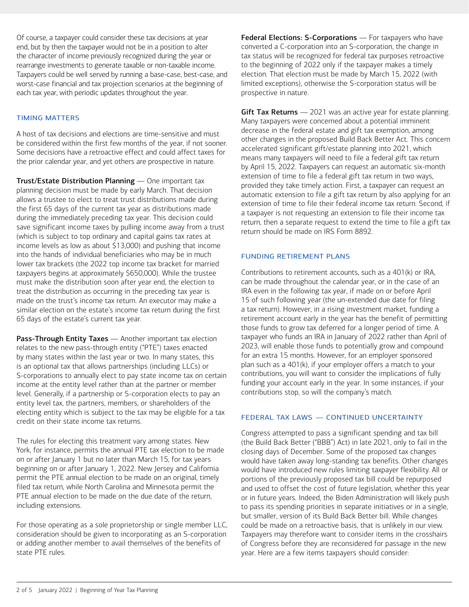Of course, a taxpayer could consider these tax decisions at year end, but by then the taxpayer would not be in a position to alter the character of income previously recognized during the year or rearrange investments to generate taxable or non-taxable income. Taxpayers could be well served by running a base-case, best-case, and worst-case financial and tax projection scenarios at the beginning of each tax year, with periodic updates throughout the year.

# TIMING MATTERS

A host of tax decisions and elections are time-sensitive and must be considered within the first few months of the year, if not sooner. Some decisions have a retroactive effect and could affect taxes for the prior calendar year, and yet others are prospective in nature.

Trust/Estate Distribution Planning — One important tax planning decision must be made by early March. That decision allows a trustee to elect to treat trust distributions made during the first 65 days of the current tax year as distributions made during the immediately preceding tax year. This decision could save significant income taxes by pulling income away from a trust (which is subject to top ordinary and capital gains tax rates at income levels as low as about \$13,000) and pushing that income into the hands of individual beneficiaries who may be in much lower tax brackets (the 2022 top income tax bracket for married taxpayers begins at approximately \$650,000). While the trustee must make the distribution soon after year end, the election to treat the distribution as occurring in the preceding tax year is made on the trust's income tax return. An executor may make a similar election on the estate's income tax return during the first 65 days of the estate's current tax year.

Pass-Through Entity Taxes - Another important tax election relates to the new pass-through entity ("PTE") taxes enacted by many states within the last year or two. In many states, this is an optional tax that allows partnerships (including LLCs) or S-corporations to annually elect to pay state income tax on certain income at the entity level rather than at the partner or member level. Generally, if a partnership or S-corporation elects to pay an entity level tax, the partners, members, or shareholders of the electing entity which is subject to the tax may be eligible for a tax credit on their state income tax returns.

The rules for electing this treatment vary among states. New York, for instance, permits the annual PTE tax election to be made on or after January 1 but no later than March 15, for tax years beginning on or after January 1, 2022. New Jersey and California permit the PTE annual election to be made on an original, timely filed tax return, while North Carolina and Minnesota permit the PTE annual election to be made on the due date of the return, including extensions.

For those operating as a sole proprietorship or single member LLC, consideration should be given to incorporating as an S-corporation or adding another member to avail themselves of the benefits of state PTE rules.

Federal Elections: S-Corporations — For taxpayers who have converted a C-corporation into an S-corporation, the change in tax status will be recognized for federal tax purposes retroactive to the beginning of 2022 only if the taxpayer makes a timely election. That election must be made by March 15, 2022 (with limited exceptions), otherwise the S-corporation status will be prospective in nature.

Gift Tax Returns  $-2021$  was an active year for estate planning. Many taxpayers were concerned about a potential imminent decrease in the federal estate and gift tax exemption, among other changes in the proposed Build Back Better Act. This concern accelerated significant gift/estate planning into 2021, which means many taxpayers will need to file a federal gift tax return by April 15, 2022. Taxpayers can request an automatic six-month extension of time to file a federal gift tax return in two ways, provided they take timely action. First, a taxpayer can request an automatic extension to file a gift tax return by also applying for an extension of time to file their federal income tax return. Second, if a taxpayer is not requesting an extension to file their income tax return, then a separate request to extend the time to file a gift tax return should be made on IRS Form 8892.

## FUNDING RETIREMENT PLANS

Contributions to retirement accounts, such as a 401(k) or IRA, can be made throughout the calendar year, or in the case of an IRA even in the following tax year, if made on or before April 15 of such following year (the un-extended due date for filing a tax return). However, in a rising investment market, funding a retirement account early in the year has the benefit of permitting those funds to grow tax deferred for a longer period of time. A taxpayer who funds an IRA in January of 2022 rather than April of 2023, will enable those funds to potentially grow and compound for an extra 15 months. However, for an employer sponsored plan such as a 401(k), if your employer offers a match to your contributions, you will want to consider the implications of fully funding your account early in the year. In some instances, if your contributions stop, so will the company's match.

## FEDERAL TAX LAWS — CONTINUED UNCERTAINTY

Congress attempted to pass a significant spending and tax bill (the Build Back Better ("BBB") Act) in late 2021, only to fail in the closing days of December. Some of the proposed tax changes would have taken away long-standing tax benefits. Other changes would have introduced new rules limiting taxpayer flexibility. All or portions of the previously proposed tax bill could be repurposed and used to offset the cost of future legislation, whether this year or in future years. Indeed, the Biden Administration will likely push to pass its spending priorities in separate initiatives or in a single, but smaller, version of its Build Back Better bill. While changes could be made on a retroactive basis, that is unlikely in our view. Taxpayers may therefore want to consider items in the crosshairs of Congress before they are reconsidered for passage in the new year. Here are a few items taxpayers should consider: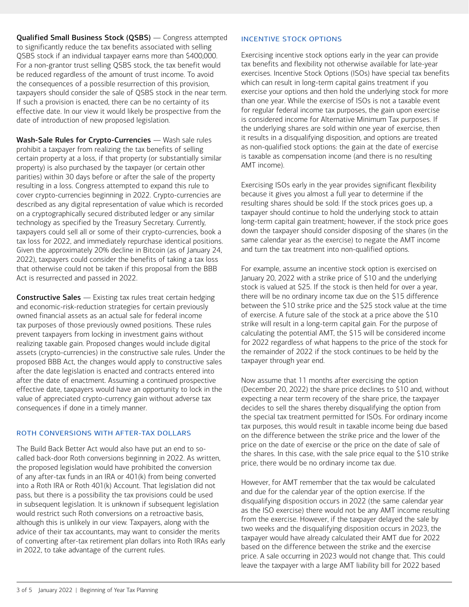Qualified Small Business Stock (QSBS) — Congress attempted to significantly reduce the tax benefits associated with selling QSBS stock if an individual taxpayer earns more than \$400,000. For a non-grantor trust selling QSBS stock, the tax benefit would be reduced regardless of the amount of trust income. To avoid the consequences of a possible resurrection of this provision, taxpayers should consider the sale of QSBS stock in the near term. If such a provision is enacted, there can be no certainty of its effective date. In our view it would likely be prospective from the date of introduction of new proposed legislation.

Wash-Sale Rules for Crypto-Currencies — Wash sale rules prohibit a taxpayer from realizing the tax benefits of selling certain property at a loss, if that property (or substantially similar property) is also purchased by the taxpayer (or certain other parities) within 30 days before or after the sale of the property resulting in a loss. Congress attempted to expand this rule to cover crypto-currencies beginning in 2022. Crypto-currencies are described as any digital representation of value which is recorded on a cryptographically secured distributed ledger or any similar technology as specified by the Treasury Secretary. Currently, taxpayers could sell all or some of their crypto-currencies, book a tax loss for 2022, and immediately repurchase identical positions. Given the approximately 20% decline in Bitcoin (as of January 24, 2022), taxpayers could consider the benefits of taking a tax loss that otherwise could not be taken if this proposal from the BBB Act is resurrected and passed in 2022.

Constructive Sales — Existing tax rules treat certain hedging and economic-risk-reduction strategies for certain previously owned financial assets as an actual sale for federal income tax purposes of those previously owned positions. These rules prevent taxpayers from locking in investment gains without realizing taxable gain. Proposed changes would include digital assets (crypto-currencies) in the constructive sale rules. Under the proposed BBB Act, the changes would apply to constructive sales after the date legislation is enacted and contracts entered into after the date of enactment. Assuming a continued prospective effective date, taxpayers would have an opportunity to lock in the value of appreciated crypto-currency gain without adverse tax consequences if done in a timely manner.

# ROTH CONVERSIONS WITH AFTER-TAX DOLLARS

The Build Back Better Act would also have put an end to socalled back-door Roth conversions beginning in 2022. As written, the proposed legislation would have prohibited the conversion of any after-tax funds in an IRA or 401(k) from being converted into a Roth IRA or Roth 401(k) Account. That legislation did not pass, but there is a possibility the tax provisions could be used in subsequent legislation. It is unknown if subsequent legislation would restrict such Roth conversions on a retroactive basis, although this is unlikely in our view. Taxpayers, along with the advice of their tax accountants, may want to consider the merits of converting after-tax retirement plan dollars into Roth IRAs early in 2022, to take advantage of the current rules.

# INCENTIVE STOCK OPTIONS

Exercising incentive stock options early in the year can provide tax benefits and flexibility not otherwise available for late-year exercises. Incentive Stock Options (ISOs) have special tax benefits which can result in long-term capital gains treatment if you exercise your options and then hold the underlying stock for more than one year. While the exercise of ISOs is not a taxable event for regular federal income tax purposes, the gain upon exercise is considered income for Alternative Minimum Tax purposes. If the underlying shares are sold within one year of exercise, then it results in a disqualifying disposition, and options are treated as non-qualified stock options: the gain at the date of exercise is taxable as compensation income (and there is no resulting AMT income).

Exercising ISOs early in the year provides significant flexibility because it gives you almost a full year to determine if the resulting shares should be sold: If the stock prices goes up, a taxpayer should continue to hold the underlying stock to attain long-term capital gain treatment; however, if the stock price goes down the taxpayer should consider disposing of the shares (in the same calendar year as the exercise) to negate the AMT income and turn the tax treatment into non-qualified options.

For example, assume an incentive stock option is exercised on January 20, 2022 with a strike price of \$10 and the underlying stock is valued at \$25. If the stock is then held for over a year, there will be no ordinary income tax due on the \$15 difference between the \$10 strike price and the \$25 stock value at the time of exercise. A future sale of the stock at a price above the \$10 strike will result in a long-term capital gain. For the purpose of calculating the potential AMT, the \$15 will be considered income for 2022 regardless of what happens to the price of the stock for the remainder of 2022 if the stock continues to be held by the taxpayer through year end.

Now assume that 11 months after exercising the option (December 20, 2022) the share price declines to \$10 and, without expecting a near term recovery of the share price, the taxpayer decides to sell the shares thereby disqualifying the option from the special tax treatment permitted for ISOs. For ordinary income tax purposes, this would result in taxable income being due based on the difference between the strike price and the lower of the price on the date of exercise or the price on the date of sale of the shares. In this case, with the sale price equal to the \$10 strike price, there would be no ordinary income tax due.

However, for AMT remember that the tax would be calculated and due for the calendar year of the option exercise. If the disqualifying disposition occurs in 2022 (the same calendar year as the ISO exercise) there would not be any AMT income resulting from the exercise. However, if the taxpayer delayed the sale by two weeks and the disqualifying disposition occurs in 2023, the taxpayer would have already calculated their AMT due for 2022 based on the difference between the strike and the exercise price. A sale occurring in 2023 would not change that. This could leave the taxpayer with a large AMT liability bill for 2022 based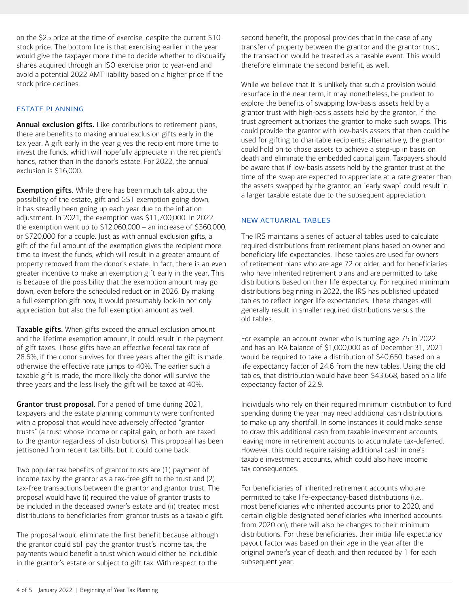on the \$25 price at the time of exercise, despite the current \$10 stock price. The bottom line is that exercising earlier in the year would give the taxpayer more time to decide whether to disqualify shares acquired through an ISO exercise prior to year-end and avoid a potential 2022 AMT liability based on a higher price if the stock price declines.

# ESTATE PLANNING

Annual exclusion gifts. Like contributions to retirement plans, there are benefits to making annual exclusion gifts early in the tax year. A gift early in the year gives the recipient more time to invest the funds, which will hopefully appreciate in the recipient's hands, rather than in the donor's estate. For 2022, the annual exclusion is \$16,000.

**Exemption gifts.** While there has been much talk about the possibility of the estate, gift and GST exemption going down, it has steadily been going up each year due to the inflation adjustment. In 2021, the exemption was \$11,700,000. In 2022, the exemption went up to \$12,060,000 – an increase of \$360,000, or \$720,000 for a couple. Just as with annual exclusion gifts, a gift of the full amount of the exemption gives the recipient more time to invest the funds, which will result in a greater amount of property removed from the donor's estate. In fact, there is an even greater incentive to make an exemption gift early in the year. This is because of the possibility that the exemption amount may go down, even before the scheduled reduction in 2026. By making a full exemption gift now, it would presumably lock-in not only appreciation, but also the full exemption amount as well.

Taxable gifts. When gifts exceed the annual exclusion amount and the lifetime exemption amount, it could result in the payment of gift taxes. Those gifts have an effective federal tax rate of 28.6%, if the donor survives for three years after the gift is made, otherwise the effective rate jumps to 40%. The earlier such a taxable gift is made, the more likely the donor will survive the three years and the less likely the gift will be taxed at 40%.

Grantor trust proposal. For a period of time during 2021, taxpayers and the estate planning community were confronted with a proposal that would have adversely affected "grantor trusts" (a trust whose income or capital gain, or both, are taxed to the grantor regardless of distributions). This proposal has been jettisoned from recent tax bills, but it could come back.

Two popular tax benefits of grantor trusts are (1) payment of income tax by the grantor as a tax-free gift to the trust and (2) tax-free transactions between the grantor and grantor trust. The proposal would have (i) required the value of grantor trusts to be included in the deceased owner's estate and (ii) treated most distributions to beneficiaries from grantor trusts as a taxable gift.

The proposal would eliminate the first benefit because although the grantor could still pay the grantor trust's income tax, the payments would benefit a trust which would either be includible in the grantor's estate or subject to gift tax. With respect to the second benefit, the proposal provides that in the case of any transfer of property between the grantor and the grantor trust, the transaction would be treated as a taxable event. This would therefore eliminate the second benefit, as well.

While we believe that it is unlikely that such a provision would resurface in the near term, it may, nonetheless, be prudent to explore the benefits of swapping low-basis assets held by a grantor trust with high-basis assets held by the grantor, if the trust agreement authorizes the grantor to make such swaps. This could provide the grantor with low-basis assets that then could be used for gifting to charitable recipients; alternatively, the grantor could hold on to those assets to achieve a step-up in basis on death and eliminate the embedded capital gain. Taxpayers should be aware that if low-basis assets held by the grantor trust at the time of the swap are expected to appreciate at a rate greater than the assets swapped by the grantor, an "early swap" could result in a larger taxable estate due to the subsequent appreciation.

# NEW ACTUARIAL TABLES

The IRS maintains a series of actuarial tables used to calculate required distributions from retirement plans based on owner and beneficiary life expectancies. These tables are used for owners of retirement plans who are age 72 or older, and for beneficiaries who have inherited retirement plans and are permitted to take distributions based on their life expectancy. For required minimum distributions beginning in 2022, the IRS has published updated tables to reflect longer life expectancies. These changes will generally result in smaller required distributions versus the old tables.

For example, an account owner who is turning age 75 in 2022 and has an IRA balance of \$1,000,000 as of December 31, 2021 would be required to take a distribution of \$40,650, based on a life expectancy factor of 24.6 from the new tables. Using the old tables, that distribution would have been \$43,668, based on a life expectancy factor of 22.9.

Individuals who rely on their required minimum distribution to fund spending during the year may need additional cash distributions to make up any shortfall. In some instances it could make sense to draw this additional cash from taxable investment accounts, leaving more in retirement accounts to accumulate tax-deferred. However, this could require raising additional cash in one's taxable investment accounts, which could also have income tax consequences.

For beneficiaries of inherited retirement accounts who are permitted to take life-expectancy-based distributions (i.e., most beneficiaries who inherited accounts prior to 2020, and certain eligible designated beneficiaries who inherited accounts from 2020 on), there will also be changes to their minimum distributions. For these beneficiaries, their initial life expectancy payout factor was based on their age in the year after the original owner's year of death, and then reduced by 1 for each subsequent year.